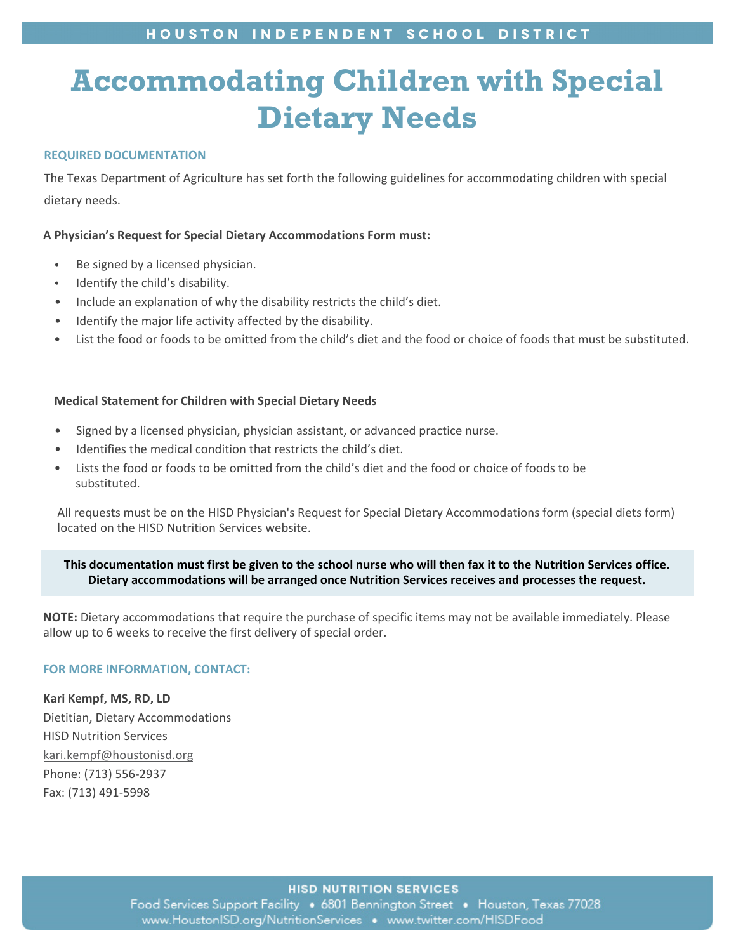# HOUSTON INDEPENDENT SCHOOL DISTRICT

# **Accommodating Children with Special Dietary Needs**

# **REQUIRED DOCUMENTATION**

The Texas Department of Agriculture has set forth the following guidelines for accommodating children with special dietary needs.

### **A Physician's Request for Special Dietary Accommodations Form must:**

- Be signed by a licensed physician.
- Identify the child's disability.
- Include an explanation of why the disability restricts the child's diet.
- Identify the major life activity affected by the disability.
- List the food or foods to be omitted from the child's diet and the food or choice of foods that must be substituted.

#### **Medical Statement for Children with Special Dietary Needs**

- Signed by a licensed physician, physician assistant, or advanced practice nurse.
- Identifies the medical condition that restricts the child's diet.
- Lists the food or foods to be omitted from the child's diet and the food or choice of foods to be substituted.

All requests must be on the HISD Physician's Request for Special Dietary Accommodations form (special diets form) located on the HISD Nutrition Services website.

# **This documentation must first be given to the school nurse who will then fax it to the Nutrition Services office. Dietary accommodations will be arranged once Nutrition Services receives and processes the request.**

**NOTE:** Dietary accommodations that require the purchase of specific items may not be available immediately. Please allow up to 6 weeks to receive the first delivery of special order.

#### **FOR MORE INFORMATION, CONTACT:**

**Kari Kempf, MS, RD, LD** Dietitian, Dietary Accommodations HISD Nutrition Services kari.kempf@houstonisd.org Phone: (713) 556-2937 Fax: (713) 491-5998

**HISD NUTRITION SERVICES** 

Food Services Support Facility ● 6801 Bennington Street ● Houston, Texas 77028 www.HoustonISD.org/NutritionServices • www.twitter.com/HISDFood